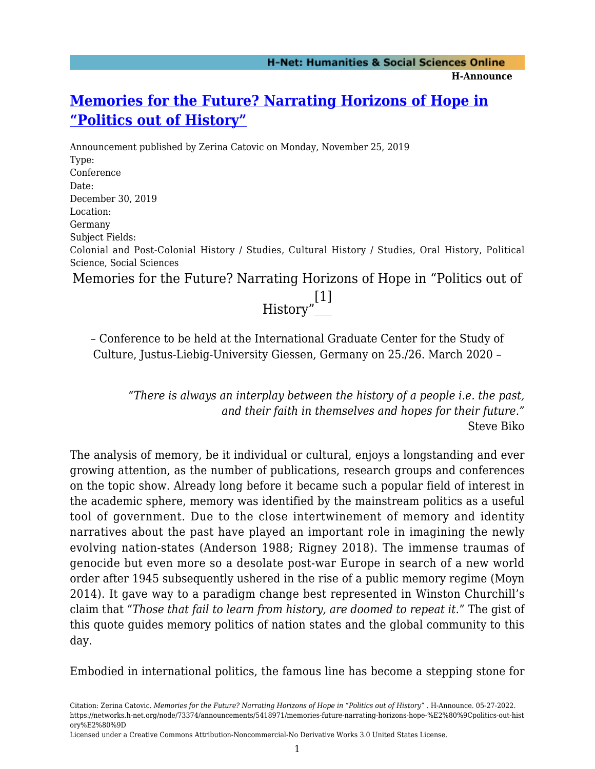## **[Memories for the Future? Narrating Horizons of Hope in](https://networks.h-net.org/node/73374/announcements/5418971/memories-future-narrating-horizons-hope-%E2%80%9Cpolitics-out-history%E2%80%9D) ["Politics out of History"](https://networks.h-net.org/node/73374/announcements/5418971/memories-future-narrating-horizons-hope-%E2%80%9Cpolitics-out-history%E2%80%9D)**

Announcement published by Zerina Catovic on Monday, November 25, 2019 Type: Conference Date: December 30, 2019 Location: Germany Subject Fields: Colonial and Post-Colonial History / Studies, Cultural History / Studies, Oral History, Political Science, Social Sciences

<span id="page-0-0"></span>Memories for the Future? Narrating Horizons of Hope in "Politics out of



– Conference to be held at the International Graduate Center for the Study of Culture, Justus-Liebig-University Giessen, Germany on 25./26. March 2020 –

*"There is always an interplay between the history of a people i.e. the past, and their faith in themselves and hopes for their future."* Steve Biko

The analysis of memory, be it individual or cultural, enjoys a longstanding and ever growing attention, as the number of publications, research groups and conferences on the topic show. Already long before it became such a popular field of interest in the academic sphere, memory was identified by the mainstream politics as a useful tool of government. Due to the close intertwinement of memory and identity narratives about the past have played an important role in imagining the newly evolving nation-states (Anderson 1988; Rigney 2018). The immense traumas of genocide but even more so a desolate post-war Europe in search of a new world order after 1945 subsequently ushered in the rise of a public memory regime (Moyn 2014). It gave way to a paradigm change best represented in Winston Churchill's claim that "*Those that fail to learn from history, are doomed to repeat it*." The gist of this quote guides memory politics of nation states and the global community to this day.

Embodied in international politics, the famous line has become a stepping stone for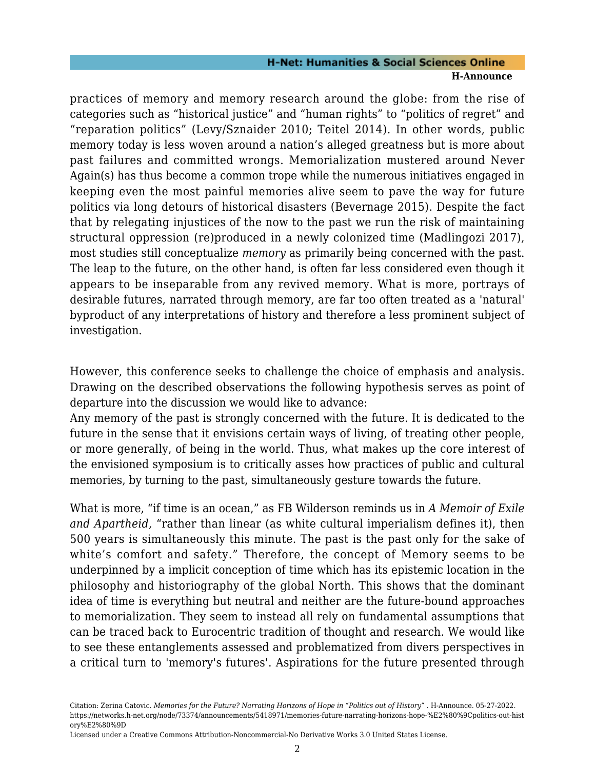## **H-Net: Humanities & Social Sciences Online H-Announce**

practices of memory and memory research around the globe: from the rise of categories such as "historical justice" and "human rights" to "politics of regret" and "reparation politics" (Levy/Sznaider 2010; Teitel 2014). In other words, public memory today is less woven around a nation's alleged greatness but is more about past failures and committed wrongs. Memorialization mustered around Never Again(s) has thus become a common trope while the numerous initiatives engaged in keeping even the most painful memories alive seem to pave the way for future politics via long detours of historical disasters (Bevernage 2015). Despite the fact that by relegating injustices of the now to the past we run the risk of maintaining structural oppression (re)produced in a newly colonized time (Madlingozi 2017), most studies still conceptualize *memory* as primarily being concerned with the past. The leap to the future, on the other hand, is often far less considered even though it appears to be inseparable from any revived memory. What is more, portrays of desirable futures, narrated through memory, are far too often treated as a 'natural' byproduct of any interpretations of history and therefore a less prominent subject of investigation.

However, this conference seeks to challenge the choice of emphasis and analysis. Drawing on the described observations the following hypothesis serves as point of departure into the discussion we would like to advance:

Any memory of the past is strongly concerned with the future. It is dedicated to the future in the sense that it envisions certain ways of living, of treating other people, or more generally, of being in the world. Thus, what makes up the core interest of the envisioned symposium is to critically asses how practices of public and cultural memories, by turning to the past, simultaneously gesture towards the future.

What is more, "if time is an ocean," as FB Wilderson reminds us in *A Memoir of Exile and Apartheid,* "rather than linear (as white cultural imperialism defines it), then 500 years is simultaneously this minute. The past is the past only for the sake of white's comfort and safety." Therefore, the concept of Memory seems to be underpinned by a implicit conception of time which has its epistemic location in the philosophy and historiography of the global North. This shows that the dominant idea of time is everything but neutral and neither are the future-bound approaches to memorialization. They seem to instead all rely on fundamental assumptions that can be traced back to Eurocentric tradition of thought and research. We would like to see these entanglements assessed and problematized from divers perspectives in a critical turn to 'memory's futures'. Aspirations for the future presented through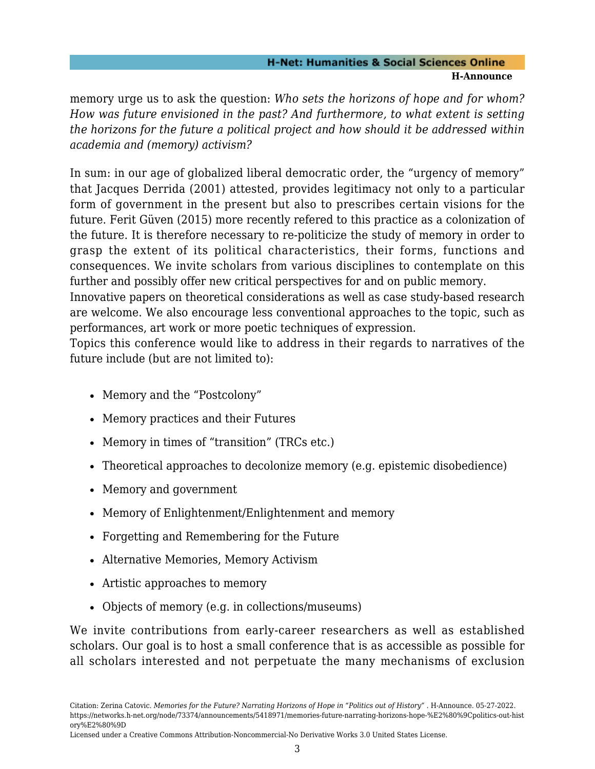## **H-Net: Humanities & Social Sciences Online H-Announce**

memory urge us to ask the question: *Who sets the horizons of hope and for whom? How was future envisioned in the past? And furthermore, to what extent is setting the horizons for the future a political project and how should it be addressed within academia and (memory) activism?*

In sum: in our age of globalized liberal democratic order, the "urgency of memory" that Jacques Derrida (2001) attested, provides legitimacy not only to a particular form of government in the present but also to prescribes certain visions for the future. Ferit Güven (2015) more recently refered to this practice as a colonization of the future. It is therefore necessary to re-politicize the study of memory in order to grasp the extent of its political characteristics, their forms, functions and consequences. We invite scholars from various disciplines to contemplate on this further and possibly offer new critical perspectives for and on public memory.

Innovative papers on theoretical considerations as well as case study-based research are welcome. We also encourage less conventional approaches to the topic, such as performances, art work or more poetic techniques of expression.

Topics this conference would like to address in their regards to narratives of the future include (but are not limited to):

- Memory and the "Postcolony"
- Memory practices and their Futures
- Memory in times of "transition" (TRCs etc.)
- Theoretical approaches to decolonize memory (e.g. epistemic disobedience)
- Memory and government
- Memory of Enlightenment/Enlightenment and memory
- Forgetting and Remembering for the Future
- Alternative Memories, Memory Activism
- Artistic approaches to memory
- Objects of memory (e.g. in collections/museums)

We invite contributions from early-career researchers as well as established scholars. Our goal is to host a small conference that is as accessible as possible for all scholars interested and not perpetuate the many mechanisms of exclusion